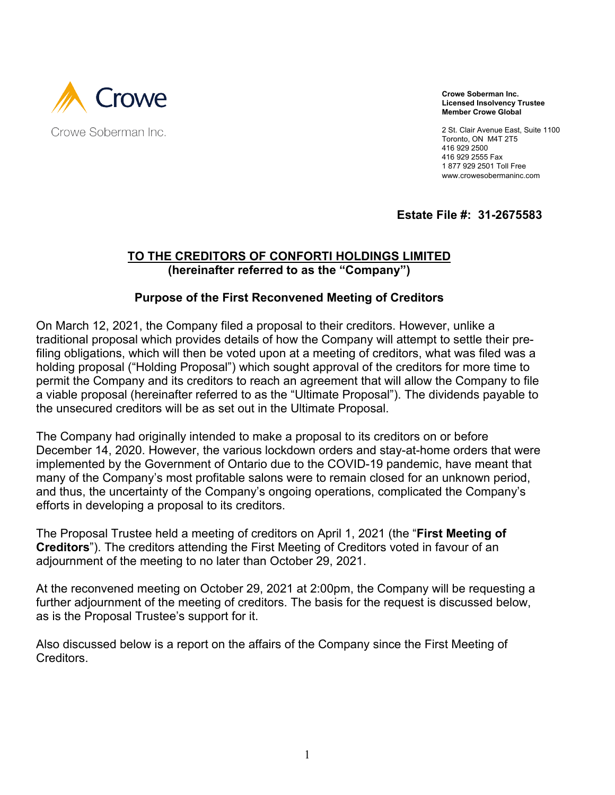

**Crowe Soberman Inc. Licensed Insolvency Trustee Member Crowe Global**

2 St. Clair Avenue East, Suite 1100 Toronto, ON M4T 2T5 416 929 2500 416 929 2555 Fax 1 877 929 2501 Toll Free www.crowesobermaninc.com

**Estate File #: 31-2675583**

### **TO THE CREDITORS OF CONFORTI HOLDINGS LIMITED (hereinafter referred to as the "Company")**

### **Purpose of the First Reconvened Meeting of Creditors**

On March 12, 2021, the Company filed a proposal to their creditors. However, unlike a traditional proposal which provides details of how the Company will attempt to settle their prefiling obligations, which will then be voted upon at a meeting of creditors, what was filed was a holding proposal ("Holding Proposal") which sought approval of the creditors for more time to permit the Company and its creditors to reach an agreement that will allow the Company to file a viable proposal (hereinafter referred to as the "Ultimate Proposal"). The dividends payable to the unsecured creditors will be as set out in the Ultimate Proposal.

The Company had originally intended to make a proposal to its creditors on or before December 14, 2020. However, the various lockdown orders and stay-at-home orders that were implemented by the Government of Ontario due to the COVID-19 pandemic, have meant that many of the Company's most profitable salons were to remain closed for an unknown period, and thus, the uncertainty of the Company's ongoing operations, complicated the Company's efforts in developing a proposal to its creditors.

The Proposal Trustee held a meeting of creditors on April 1, 2021 (the "**First Meeting of Creditors**"). The creditors attending the First Meeting of Creditors voted in favour of an adjournment of the meeting to no later than October 29, 2021.

At the reconvened meeting on October 29, 2021 at 2:00pm, the Company will be requesting a further adjournment of the meeting of creditors. The basis for the request is discussed below, as is the Proposal Trustee's support for it.

Also discussed below is a report on the affairs of the Company since the First Meeting of Creditors.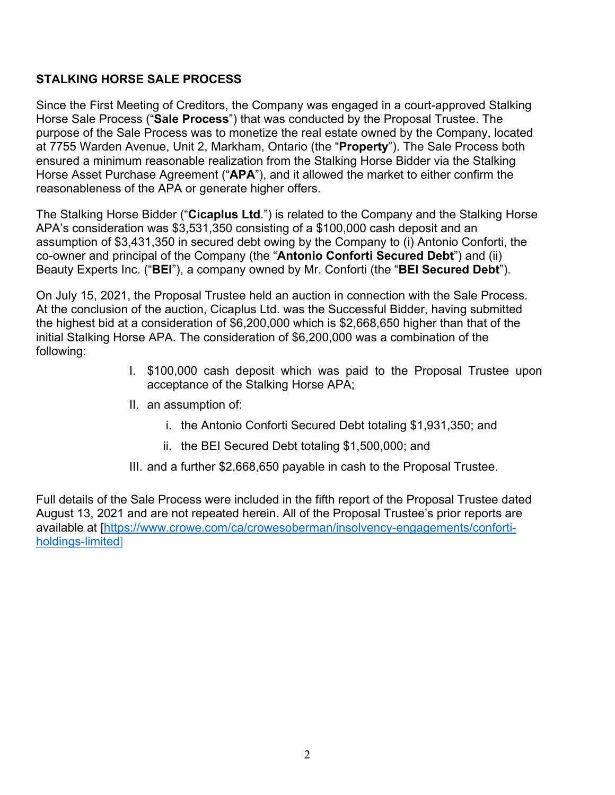# **STALKING HORSE SALE PROCESS**

Since the First Meeting of Creditors, the Company was engaged in a court-approved Stalking Horse Sale Process ("**Sale Process**") that was conducted by the Proposal Trustee. The purpose of the Sale Process was to monetize the real estate owned by the Company, located at 7755 Warden Avenue, Unit 2, Markham, Ontario (the "**Property**"). The Sale Process both ensured a minimum reasonable realization from the Stalking Horse Bidder via the Stalking Horse Asset Purchase Agreement ("**APA**"), and it allowed the market to either confirm the reasonableness of the APA or generate higher offers.

The Stalking Horse Bidder ("**Cicaplus Ltd**.") is related to the Company and the Stalking Horse APA's consideration was \$3,531,350 consisting of a \$100,000 cash deposit and an assumption of \$3,431,350 in secured debt owing by the Company to (i) Antonio Conforti, the co-owner and principal of the Company (the "**Antonio Conforti Secured Debt**") and (ii) Beauty Experts Inc. ("**BEI**"), a company owned by Mr. Conforti (the "**BEI Secured Debt**").

On July 15, 2021, the Proposal Trustee held an auction in connection with the Sale Process. At the conclusion of the auction, Cicaplus Ltd. was the Successful Bidder, having submitted the highest bid at a consideration of \$6,200,000 which is \$2,668,650 higher than that of the initial Stalking Horse APA. The consideration of \$6,200,000 was a combination of the following:

- I. \$100,000 cash deposit which was paid to the Proposal Trustee upon acceptance of the Stalking Horse APA;
- II. an assumption of:
	- i. the Antonio Conforti Secured Debt totaling \$1,931,350; and
	- ii. the BEI Secured Debt totaling \$1,500,000; and
- III. and a further \$2,668,650 payable in cash to the Proposal Trustee.

Full details of the Sale Process were included in the fifth report of the Proposal Trustee dated August 13, 2021 and are not repeated herein. All of the Proposal Trustee's prior reports are available at [\[https://www.crowe.com/ca/crowesoberman/insolvency-engagements/conforti](https://www.crowe.com/ca/crowesoberman/insolvency-engagements/conforti-holdings-limited)[holdings-limited\]](https://www.crowe.com/ca/crowesoberman/insolvency-engagements/conforti-holdings-limited)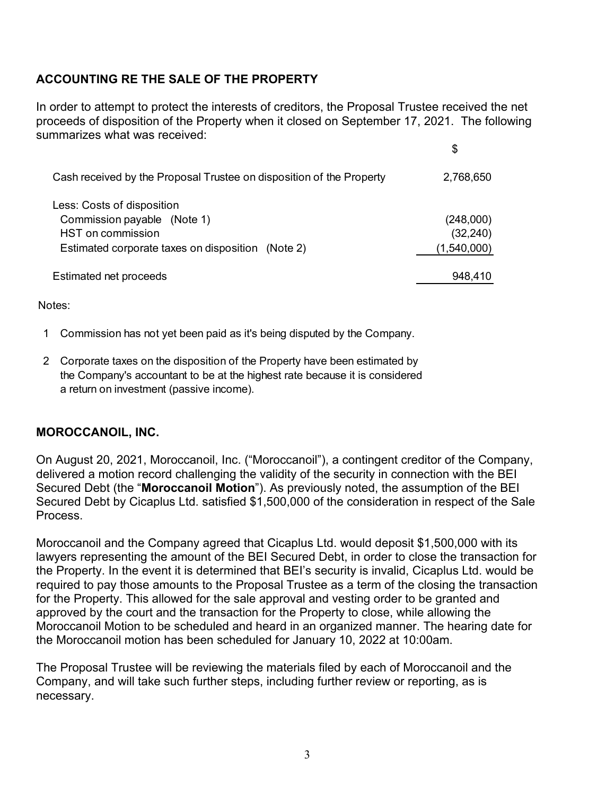# **ACCOUNTING RE THE SALE OF THE PROPERTY**

In order to attempt to protect the interests of creditors, the Proposal Trustee received the net proceeds of disposition of the Property when it closed on September 17, 2021. The following summarizes what was received:

 $\Phi$ 

|                                                                                                                                            | ັ                                     |
|--------------------------------------------------------------------------------------------------------------------------------------------|---------------------------------------|
| Cash received by the Proposal Trustee on disposition of the Property                                                                       | 2,768,650                             |
| Less: Costs of disposition<br>Commission payable (Note 1)<br><b>HST</b> on commission<br>Estimated corporate taxes on disposition (Note 2) | (248,000)<br>(32, 240)<br>(1,540,000) |
| Estimated net proceeds                                                                                                                     | 948,410                               |

Notes:

- 1 Commission has not yet been paid as it's being disputed by the Company.
- 2 Corporate taxes on the disposition of the Property have been estimated by the Company's accountant to be at the highest rate because it is considered a return on investment (passive income).

### **MOROCCANOIL, INC.**

On August 20, 2021, Moroccanoil, Inc. ("Moroccanoil"), a contingent creditor of the Company, delivered a motion record challenging the validity of the security in connection with the BEI Secured Debt (the "**Moroccanoil Motion**"). As previously noted, the assumption of the BEI Secured Debt by Cicaplus Ltd. satisfied \$1,500,000 of the consideration in respect of the Sale Process.

Moroccanoil and the Company agreed that Cicaplus Ltd. would deposit \$1,500,000 with its lawyers representing the amount of the BEI Secured Debt, in order to close the transaction for the Property. In the event it is determined that BEI's security is invalid, Cicaplus Ltd. would be required to pay those amounts to the Proposal Trustee as a term of the closing the transaction for the Property. This allowed for the sale approval and vesting order to be granted and approved by the court and the transaction for the Property to close, while allowing the Moroccanoil Motion to be scheduled and heard in an organized manner. The hearing date for the Moroccanoil motion has been scheduled for January 10, 2022 at 10:00am.

The Proposal Trustee will be reviewing the materials filed by each of Moroccanoil and the Company, and will take such further steps, including further review or reporting, as is necessary.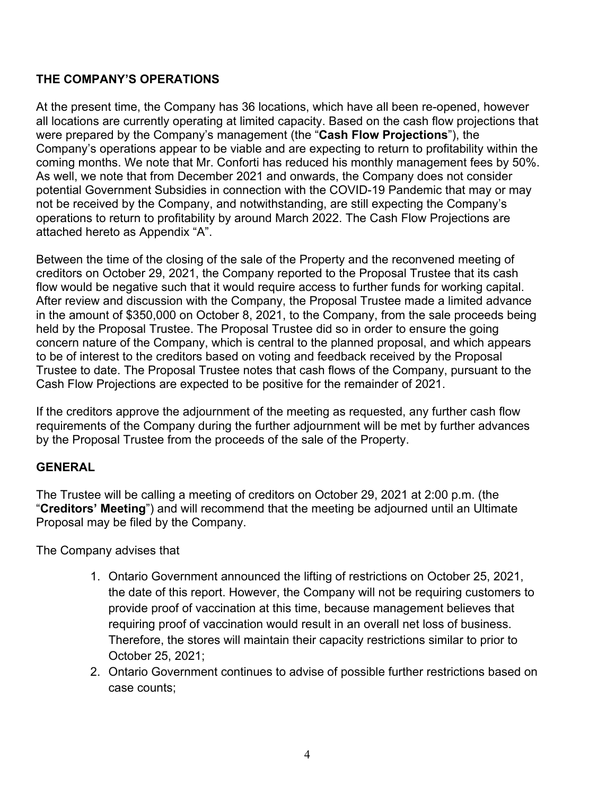## **THE COMPANY'S OPERATIONS**

At the present time, the Company has 36 locations, which have all been re-opened, however all locations are currently operating at limited capacity. Based on the cash flow projections that were prepared by the Company's management (the "**Cash Flow Projections**"), the Company's operations appear to be viable and are expecting to return to profitability within the coming months. We note that Mr. Conforti has reduced his monthly management fees by 50%. As well, we note that from December 2021 and onwards, the Company does not consider potential Government Subsidies in connection with the COVID-19 Pandemic that may or may not be received by the Company, and notwithstanding, are still expecting the Company's operations to return to profitability by around March 2022. The Cash Flow Projections are attached hereto as Appendix "A".

Between the time of the closing of the sale of the Property and the reconvened meeting of creditors on October 29, 2021, the Company reported to the Proposal Trustee that its cash flow would be negative such that it would require access to further funds for working capital. After review and discussion with the Company, the Proposal Trustee made a limited advance in the amount of \$350,000 on October 8, 2021, to the Company, from the sale proceeds being held by the Proposal Trustee. The Proposal Trustee did so in order to ensure the going concern nature of the Company, which is central to the planned proposal, and which appears to be of interest to the creditors based on voting and feedback received by the Proposal Trustee to date. The Proposal Trustee notes that cash flows of the Company, pursuant to the Cash Flow Projections are expected to be positive for the remainder of 2021.

If the creditors approve the adjournment of the meeting as requested, any further cash flow requirements of the Company during the further adjournment will be met by further advances by the Proposal Trustee from the proceeds of the sale of the Property.

### **GENERAL**

The Trustee will be calling a meeting of creditors on October 29, 2021 at 2:00 p.m. (the "**Creditors' Meeting**") and will recommend that the meeting be adjourned until an Ultimate Proposal may be filed by the Company.

The Company advises that

- 1. Ontario Government announced the lifting of restrictions on October 25, 2021, the date of this report. However, the Company will not be requiring customers to provide proof of vaccination at this time, because management believes that requiring proof of vaccination would result in an overall net loss of business. Therefore, the stores will maintain their capacity restrictions similar to prior to October 25, 2021;
- 2. Ontario Government continues to advise of possible further restrictions based on case counts;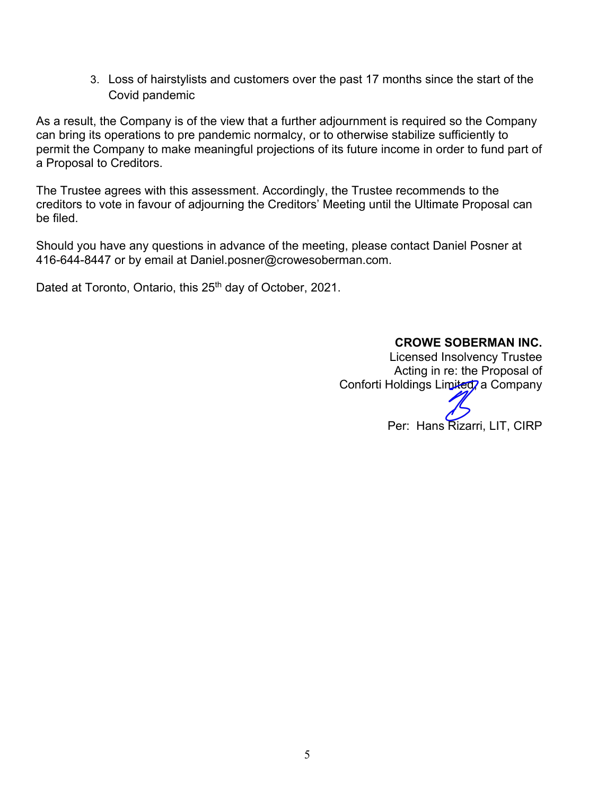3. Loss of hairstylists and customers over the past 17 months since the start of the Covid pandemic

As a result, the Company is of the view that a further adjournment is required so the Company can bring its operations to pre pandemic normalcy, or to otherwise stabilize sufficiently to permit the Company to make meaningful projections of its future income in order to fund part of a Proposal to Creditors.

The Trustee agrees with this assessment. Accordingly, the Trustee recommends to the creditors to vote in favour of adjourning the Creditors' Meeting until the Ultimate Proposal can be filed.

Should you have any questions in advance of the meeting, please contact Daniel Posner at 416-644-8447 or by email at Daniel.posner@crowesoberman.com.

Dated at Toronto, Ontario, this 25<sup>th</sup> day of October, 2021.

### **CROWE SOBERMAN INC.**

Licensed Insolvency Trustee Acting in re: the Proposal of Conforti Holdings Limited, a Company

Per: Hans Rizarri, LIT, CIRP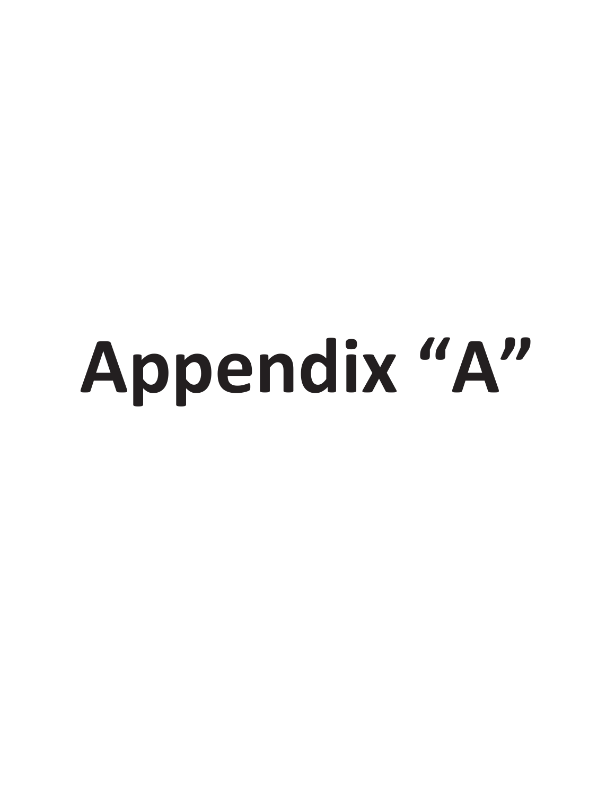# Appendix "A"